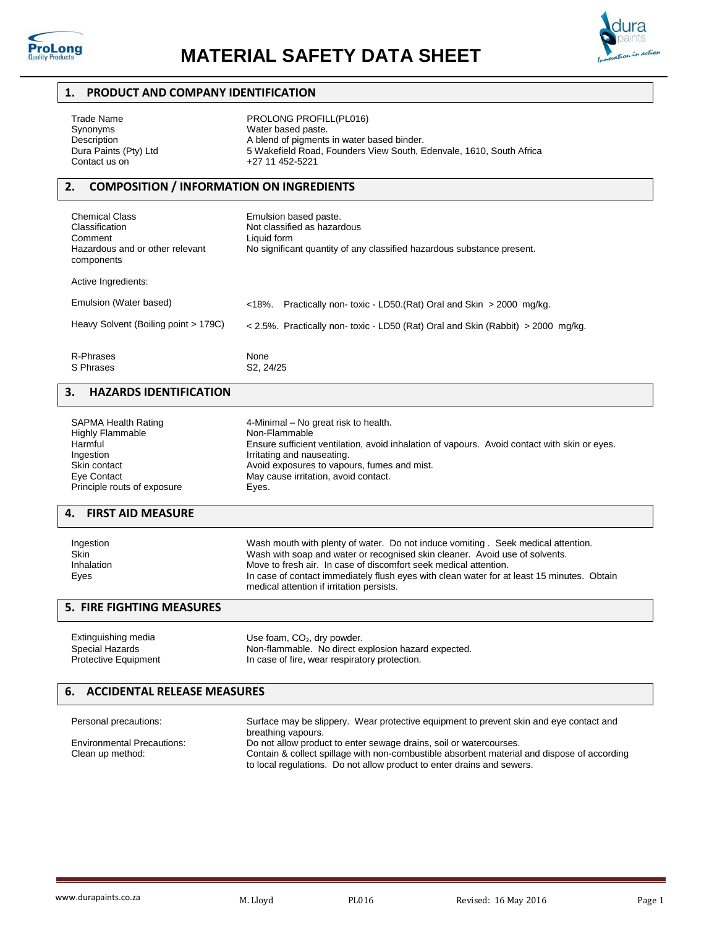



## **1. PRODUCT AND COMPANY IDENTIFICATION**

| Trade Name            | PROLONG PROFILL(PL016)                                              |  |
|-----------------------|---------------------------------------------------------------------|--|
| Synonyms              | Water based paste.                                                  |  |
| Description           | A blend of pigments in water based binder.                          |  |
| Dura Paints (Pty) Ltd | 5 Wakefield Road, Founders View South, Edenvale, 1610, South Africa |  |
| Contact us on         | +27 11 452-5221                                                     |  |
|                       |                                                                     |  |
|                       |                                                                     |  |

# **2. COMPOSITION / INFORMATION ON INGREDIENTS**

| <b>Chemical Class</b><br>Classification<br>Comment<br>Hazardous and or other relevant<br>components | Emulsion based paste.<br>Not classified as hazardous<br>Liquid form<br>No significant quantity of any classified hazardous substance present. |  |
|-----------------------------------------------------------------------------------------------------|-----------------------------------------------------------------------------------------------------------------------------------------------|--|
| Active Ingredients:                                                                                 |                                                                                                                                               |  |
| Emulsion (Water based)                                                                              | Practically non-toxic - LD50.(Rat) Oral and Skin > 2000 mg/kg.<br>$< 18%$ .                                                                   |  |
| Heavy Solvent (Boiling point > 179C)                                                                | < 2.5%. Practically non- toxic - LD50 (Rat) Oral and Skin (Rabbit) > 2000 mg/kg.                                                              |  |
| R-Phrases<br>S Phrases                                                                              | None<br>S <sub>2</sub> . 24/25                                                                                                                |  |

# **3. HAZARDS IDENTIFICATION**

| <b>SAPMA Health Rating</b>  | 4-Minimal – No great risk to health.                                                         |
|-----------------------------|----------------------------------------------------------------------------------------------|
| <b>Highly Flammable</b>     | Non-Flammable                                                                                |
| Harmful                     | Ensure sufficient ventilation, avoid inhalation of vapours. Avoid contact with skin or eyes. |
| Ingestion                   | Irritating and nauseating.                                                                   |
| Skin contact                | Avoid exposures to vapours, fumes and mist.                                                  |
| Eye Contact                 | May cause irritation, avoid contact.                                                         |
| Principle routs of exposure | Eyes.                                                                                        |

# **4. FIRST AID MEASURE**

| Ingestion  | Wash mouth with plenty of water. Do not induce vomiting. Seek medical attention.           |  |  |
|------------|--------------------------------------------------------------------------------------------|--|--|
| Skin       | Wash with soap and water or recognised skin cleaner. Avoid use of solvents.                |  |  |
| Inhalation | Move to fresh air. In case of discomfort seek medical attention.                           |  |  |
| Eyes       | In case of contact immediately flush eyes with clean water for at least 15 minutes. Obtain |  |  |
|            | medical attention if irritation persists.                                                  |  |  |

# **5. FIRE FIGHTING MEASURES**

| Extinguishing media  | Use foam, $CO2$ , dry powder.                       |  |  |
|----------------------|-----------------------------------------------------|--|--|
| Special Hazards      | Non-flammable. No direct explosion hazard expected. |  |  |
| Protective Equipment | In case of fire, wear respiratory protection.       |  |  |

## **6. ACCIDENTAL RELEASE MEASURES**

| Personal precautions:             | Surface may be slippery. Wear protective equipment to prevent skin and eye contact and<br>breathing vapours. |  |  |
|-----------------------------------|--------------------------------------------------------------------------------------------------------------|--|--|
| <b>Environmental Precautions:</b> | Do not allow product to enter sewage drains, soil or watercourses.                                           |  |  |
| Clean up method:                  | Contain & collect spillage with non-combustible absorbent material and dispose of according                  |  |  |
|                                   | to local regulations. Do not allow product to enter drains and sewers.                                       |  |  |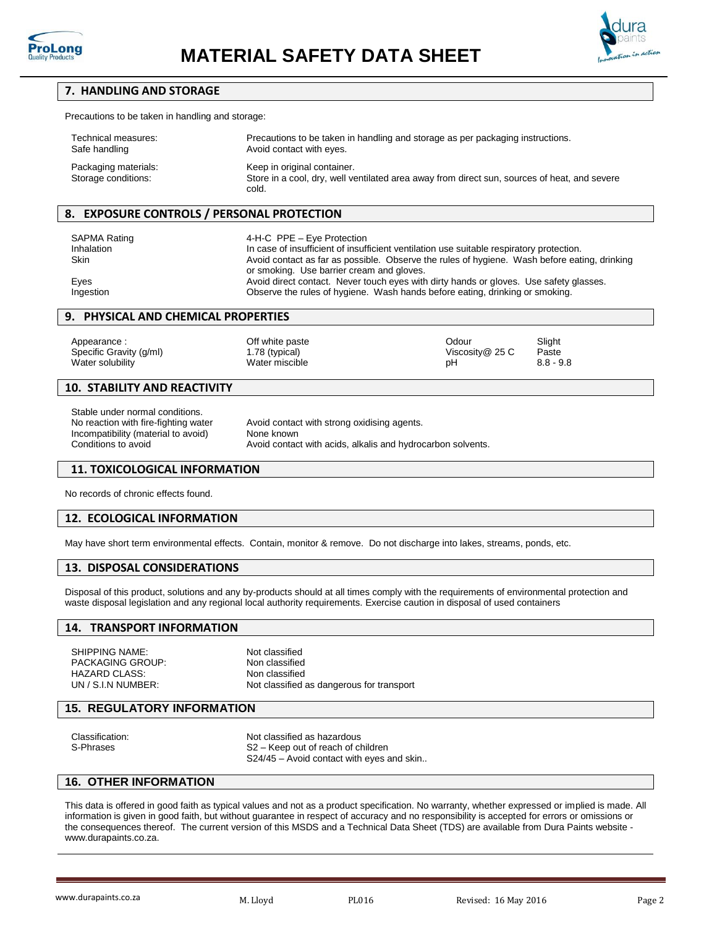



## **7. HANDLING AND STORAGE**

Precautions to be taken in handling and storage:

| Technical measures:                         | Precautions to be taken in handling and storage as per packaging instructions.                                                       |
|---------------------------------------------|--------------------------------------------------------------------------------------------------------------------------------------|
| Safe handling                               | Avoid contact with eyes.                                                                                                             |
| Packaging materials:<br>Storage conditions: | Keep in original container.<br>Store in a cool, dry, well ventilated area away from direct sun, sources of heat, and severe<br>cold. |

## **8. EXPOSURE CONTROLS / PERSONAL PROTECTION**

SAPMA Rating **ACCULA 14-H-C** PPE – Eye Protection Inhalation Incase of insufficient of insufficient ventilation use suitable respiratory protection.<br>Skin Singer at Avoid contact as far as possible. Observe the rules of hygiene. Wash before eat Avoid contact as far as possible. Observe the rules of hygiene. Wash before eating, drinking or smoking. Use barrier cream and gloves. Eyes **Avoid direct contact.** Never touch eyes with dirty hands or gloves. Use safety glasses. Ingestion Observe the rules of hygiene. Wash hands before eating, drinking or smoking.

#### **9. PHYSICAL AND CHEMICAL PROPERTIES**

Appearance : Community Controllery of the paste of the paste of the Codour Slight Specific Gravity (g/ml) 1.78 (typical) 1.78 (typical) Viscosity @ 25 C Paste Water solubility **Water miscible 19.8 and 20.8 - 9.8** and 20.8 - 9.8 and 20.8 - 9.8 and 20.8 and 20.8 and 20.8 and 20.8 and 20.8 and 20.8 and 20.8 and 20.8 and 20.8 and 20.8 and 20.8 and 20.8 and 20.8 and 20.8 and 20.8 and

#### **10. STABILITY AND REACTIVITY**

Stable under normal conditions. No reaction with fire-fighting water **Avoid contact with strong oxidising agents**. Incompatibility (material to avoid) None known Conditions to avoid **Avoid contact with acids, alkalis and hydrocarbon solvents**.

#### **11. TOXICOLOGICAL INFORMATION**

No records of chronic effects found.

## **12. ECOLOGICAL INFORMATION**

May have short term environmental effects. Contain, monitor & remove. Do not discharge into lakes, streams, ponds, etc.

#### **13. DISPOSAL CONSIDERATIONS**

Disposal of this product, solutions and any by-products should at all times comply with the requirements of environmental protection and waste disposal legislation and any regional local authority requirements. Exercise caution in disposal of used containers

#### **14. TRANSPORT INFORMATION**

SHIPPING NAME:<br>
PACKAGING GROUP: Non classified<br>
Non classified PACKAGING GROUP: HAZARD CLASS: Non classified

UN / S.I.N NUMBER: Not classified as dangerous for transport

## **15. REGULATORY INFORMATION**

| Classification: | Not classified as hazardous               |  |  |
|-----------------|-------------------------------------------|--|--|
| S-Phrases       | S2 – Keep out of reach of children        |  |  |
|                 | S24/45 – Avoid contact with eves and skin |  |  |

#### **16. OTHER INFORMATION**

This data is offered in good faith as typical values and not as a product specification. No warranty, whether expressed or implied is made. All information is given in good faith, but without guarantee in respect of accuracy and no responsibility is accepted for errors or omissions or the consequences thereof. The current version of this MSDS and a Technical Data Sheet (TDS) are available from Dura Paints website [www.durapaints.co.za.](http://www.durapaints.co.za/)